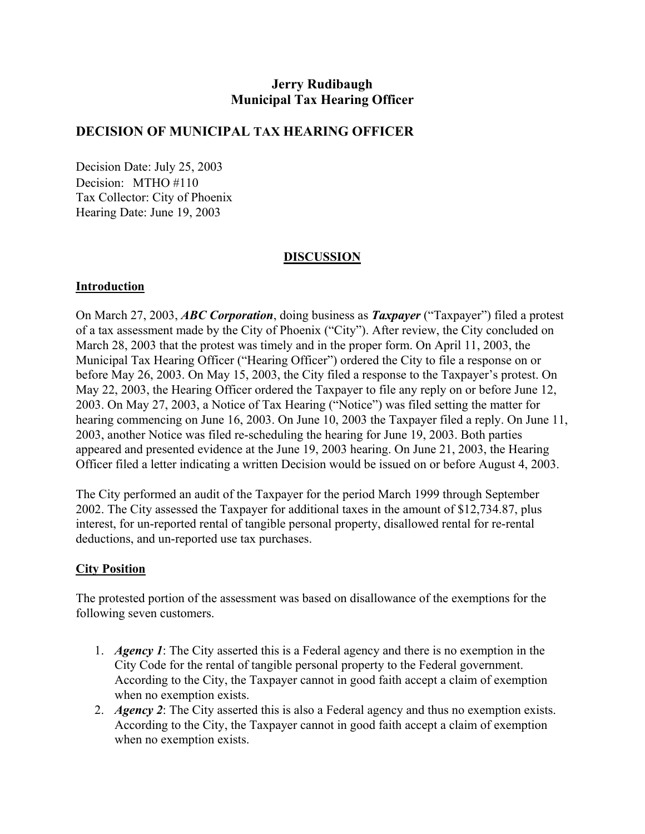# **Jerry Rudibaugh Municipal Tax Hearing Officer**

## **DECISION OF MUNICIPAL TAX HEARING OFFICER**

Decision Date: July 25, 2003 Decision: MTHO #110 Tax Collector: City of Phoenix Hearing Date: June 19, 2003

## **DISCUSSION**

#### **Introduction**

On March 27, 2003, *ABC Corporation*, doing business as *Taxpayer* ("Taxpayer") filed a protest of a tax assessment made by the City of Phoenix ("City"). After review, the City concluded on March 28, 2003 that the protest was timely and in the proper form. On April 11, 2003, the Municipal Tax Hearing Officer ("Hearing Officer") ordered the City to file a response on or before May 26, 2003. On May 15, 2003, the City filed a response to the Taxpayer's protest. On May 22, 2003, the Hearing Officer ordered the Taxpayer to file any reply on or before June 12, 2003. On May 27, 2003, a Notice of Tax Hearing ("Notice") was filed setting the matter for hearing commencing on June 16, 2003. On June 10, 2003 the Taxpayer filed a reply. On June 11, 2003, another Notice was filed re-scheduling the hearing for June 19, 2003. Both parties appeared and presented evidence at the June 19, 2003 hearing. On June 21, 2003, the Hearing Officer filed a letter indicating a written Decision would be issued on or before August 4, 2003.

The City performed an audit of the Taxpayer for the period March 1999 through September 2002. The City assessed the Taxpayer for additional taxes in the amount of \$12,734.87, plus interest, for un-reported rental of tangible personal property, disallowed rental for re-rental deductions, and un-reported use tax purchases.

## **City Position**

The protested portion of the assessment was based on disallowance of the exemptions for the following seven customers.

- 1. *Agency 1*: The City asserted this is a Federal agency and there is no exemption in the City Code for the rental of tangible personal property to the Federal government. According to the City, the Taxpayer cannot in good faith accept a claim of exemption when no exemption exists.
- 2. *Agency 2*: The City asserted this is also a Federal agency and thus no exemption exists. According to the City, the Taxpayer cannot in good faith accept a claim of exemption when no exemption exists.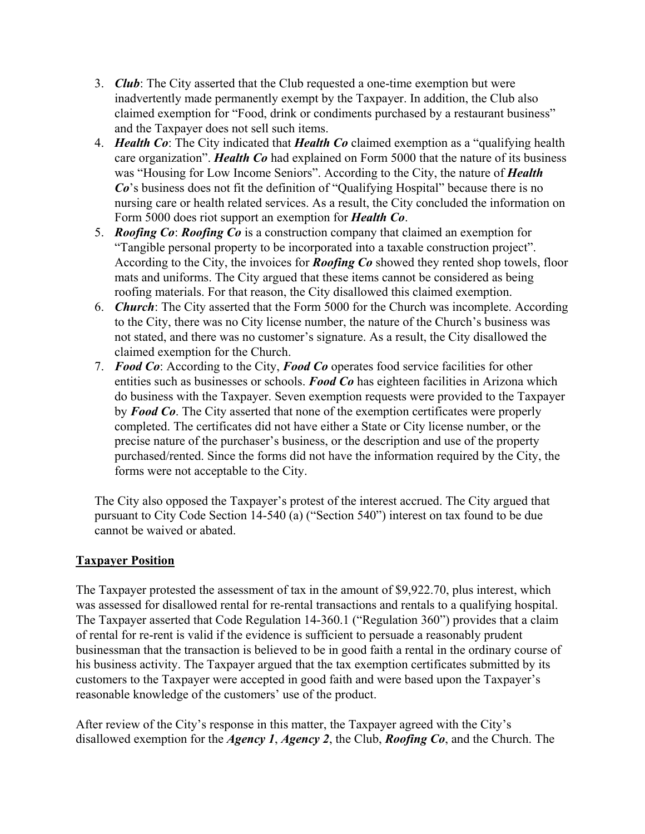- 3. *Club*: The City asserted that the Club requested a one-time exemption but were inadvertently made permanently exempt by the Taxpayer. In addition, the Club also claimed exemption for "Food, drink or condiments purchased by a restaurant business" and the Taxpayer does not sell such items.
- 4. *Health Co*: The City indicated that *Health Co* claimed exemption as a "qualifying health care organization". *Health Co* had explained on Form 5000 that the nature of its business was "Housing for Low Income Seniors". According to the City, the nature of *Health Co*'s business does not fit the definition of "Qualifying Hospital" because there is no nursing care or health related services. As a result, the City concluded the information on Form 5000 does riot support an exemption for *Health Co*.
- 5. *Roofing Co*: *Roofing Co* is a construction company that claimed an exemption for "Tangible personal property to be incorporated into a taxable construction project". According to the City, the invoices for *Roofing Co* showed they rented shop towels, floor mats and uniforms. The City argued that these items cannot be considered as being roofing materials. For that reason, the City disallowed this claimed exemption.
- 6. *Church*: The City asserted that the Form 5000 for the Church was incomplete. According to the City, there was no City license number, the nature of the Church's business was not stated, and there was no customer's signature. As a result, the City disallowed the claimed exemption for the Church.
- 7. *Food Co*: According to the City, *Food Co* operates food service facilities for other entities such as businesses or schools. *Food Co* has eighteen facilities in Arizona which do business with the Taxpayer. Seven exemption requests were provided to the Taxpayer by *Food Co*. The City asserted that none of the exemption certificates were properly completed. The certificates did not have either a State or City license number, or the precise nature of the purchaser's business, or the description and use of the property purchased/rented. Since the forms did not have the information required by the City, the forms were not acceptable to the City.

The City also opposed the Taxpayer's protest of the interest accrued. The City argued that pursuant to City Code Section 14-540 (a) ("Section 540") interest on tax found to be due cannot be waived or abated.

# **Taxpayer Position**

The Taxpayer protested the assessment of tax in the amount of \$9,922.70, plus interest, which was assessed for disallowed rental for re-rental transactions and rentals to a qualifying hospital. The Taxpayer asserted that Code Regulation 14-360.1 ("Regulation 360") provides that a claim of rental for re-rent is valid if the evidence is sufficient to persuade a reasonably prudent businessman that the transaction is believed to be in good faith a rental in the ordinary course of his business activity. The Taxpayer argued that the tax exemption certificates submitted by its customers to the Taxpayer were accepted in good faith and were based upon the Taxpayer's reasonable knowledge of the customers' use of the product.

After review of the City's response in this matter, the Taxpayer agreed with the City's disallowed exemption for the *Agency 1*, *Agency 2*, the Club, *Roofing Co*, and the Church. The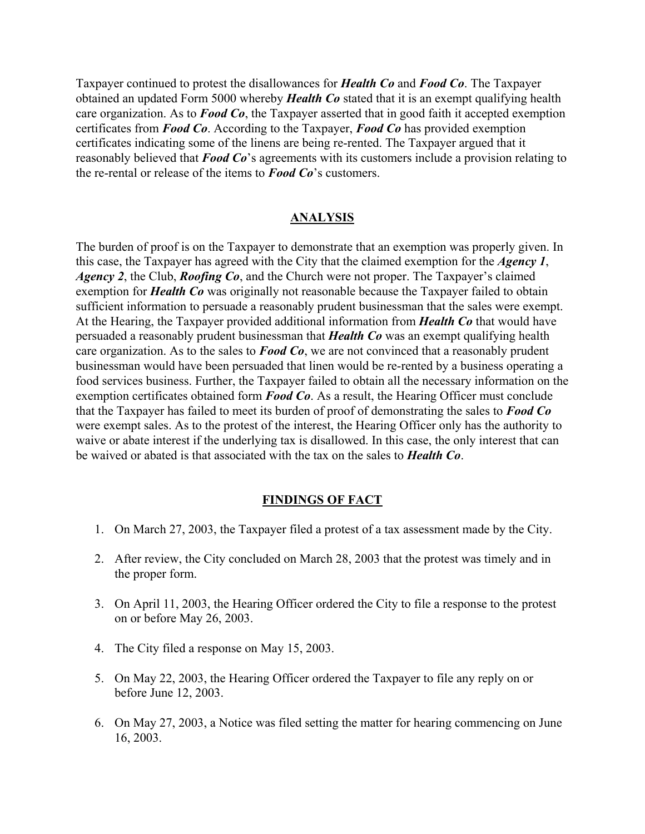Taxpayer continued to protest the disallowances for *Health Co* and *Food Co*. The Taxpayer obtained an updated Form 5000 whereby *Health Co* stated that it is an exempt qualifying health care organization. As to *Food Co*, the Taxpayer asserted that in good faith it accepted exemption certificates from *Food Co*. According to the Taxpayer, *Food Co* has provided exemption certificates indicating some of the linens are being re-rented. The Taxpayer argued that it reasonably believed that *Food Co*'s agreements with its customers include a provision relating to the re-rental or release of the items to *Food Co*'s customers.

#### **ANALYSIS**

The burden of proof is on the Taxpayer to demonstrate that an exemption was properly given. In this case, the Taxpayer has agreed with the City that the claimed exemption for the *Agency 1*, *Agency 2*, the Club, *Roofing Co*, and the Church were not proper. The Taxpayer's claimed exemption for *Health Co* was originally not reasonable because the Taxpayer failed to obtain sufficient information to persuade a reasonably prudent businessman that the sales were exempt. At the Hearing, the Taxpayer provided additional information from *Health Co* that would have persuaded a reasonably prudent businessman that *Health Co* was an exempt qualifying health care organization. As to the sales to *Food Co*, we are not convinced that a reasonably prudent businessman would have been persuaded that linen would be re-rented by a business operating a food services business. Further, the Taxpayer failed to obtain all the necessary information on the exemption certificates obtained form *Food Co*. As a result, the Hearing Officer must conclude that the Taxpayer has failed to meet its burden of proof of demonstrating the sales to *Food Co* were exempt sales. As to the protest of the interest, the Hearing Officer only has the authority to waive or abate interest if the underlying tax is disallowed. In this case, the only interest that can be waived or abated is that associated with the tax on the sales to *Health Co*.

#### **FINDINGS OF FACT**

- 1. On March 27, 2003, the Taxpayer filed a protest of a tax assessment made by the City.
- 2. After review, the City concluded on March 28, 2003 that the protest was timely and in the proper form.
- 3. On April 11, 2003, the Hearing Officer ordered the City to file a response to the protest on or before May 26, 2003.
- 4. The City filed a response on May 15, 2003.
- 5. On May 22, 2003, the Hearing Officer ordered the Taxpayer to file any reply on or before June 12, 2003.
- 6. On May 27, 2003, a Notice was filed setting the matter for hearing commencing on June 16, 2003.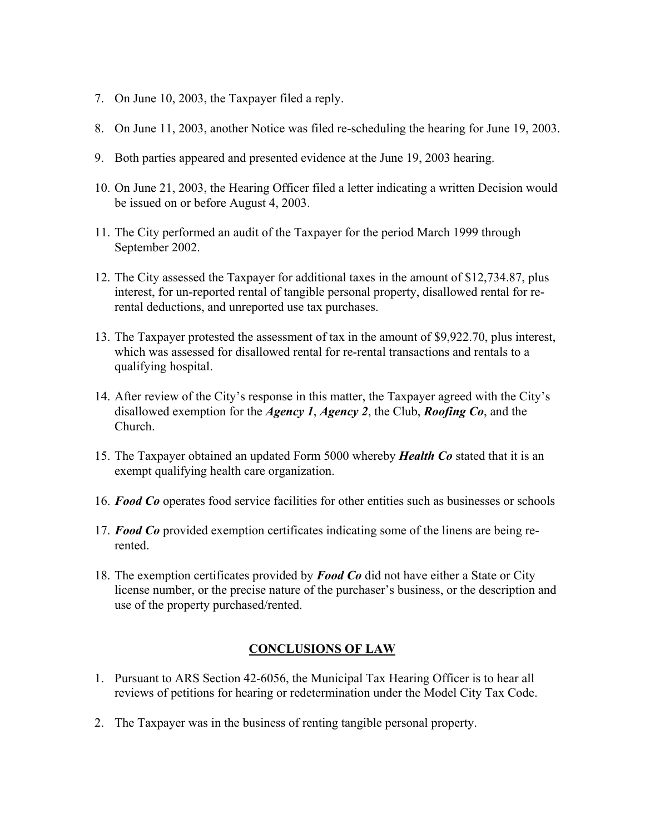- 7. On June 10, 2003, the Taxpayer filed a reply.
- 8. On June 11, 2003, another Notice was filed re-scheduling the hearing for June 19, 2003.
- 9. Both parties appeared and presented evidence at the June 19, 2003 hearing.
- 10. On June 21, 2003, the Hearing Officer filed a letter indicating a written Decision would be issued on or before August 4, 2003.
- 11. The City performed an audit of the Taxpayer for the period March 1999 through September 2002.
- 12. The City assessed the Taxpayer for additional taxes in the amount of \$12,734.87, plus interest, for un-reported rental of tangible personal property, disallowed rental for rerental deductions, and unreported use tax purchases.
- 13. The Taxpayer protested the assessment of tax in the amount of \$9,922.70, plus interest, which was assessed for disallowed rental for re-rental transactions and rentals to a qualifying hospital.
- 14. After review of the City's response in this matter, the Taxpayer agreed with the City's disallowed exemption for the *Agency 1*, *Agency 2*, the Club, *Roofing Co*, and the Church.
- 15. The Taxpayer obtained an updated Form 5000 whereby *Health Co* stated that it is an exempt qualifying health care organization.
- 16. *Food Co* operates food service facilities for other entities such as businesses or schools
- 17. *Food Co* provided exemption certificates indicating some of the linens are being rerented.
- 18. The exemption certificates provided by *Food Co* did not have either a State or City license number, or the precise nature of the purchaser's business, or the description and use of the property purchased/rented.

## **CONCLUSIONS OF LAW**

- 1. Pursuant to ARS Section 42-6056, the Municipal Tax Hearing Officer is to hear all reviews of petitions for hearing or redetermination under the Model City Tax Code.
- 2. The Taxpayer was in the business of renting tangible personal property.